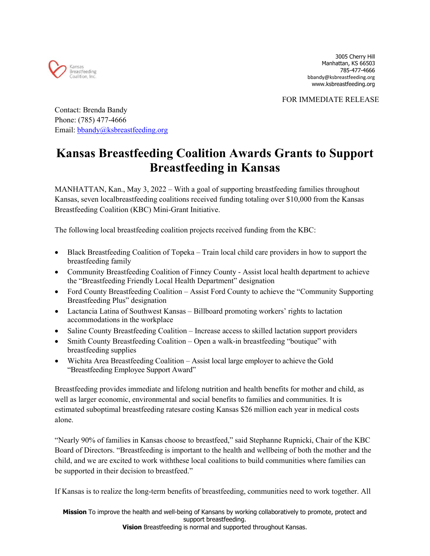

FOR IMMEDIATE RELEASE

Contact: Brenda Bandy Phone: (785) 477-4666 Email: [bbandy@ksbreastfeeding.org](mailto:bbandy@ksbreastfeeding.org)

## **Kansas Breastfeeding Coalition Awards Grants to Support Breastfeeding in Kansas**

MANHATTAN, Kan., May 3, 2022 – With a goal of supporting breastfeeding families throughout Kansas, seven localbreastfeeding coalitions received funding totaling over \$10,000 from the Kansas Breastfeeding Coalition (KBC) Mini-Grant Initiative.

The following local breastfeeding coalition projects received funding from the KBC:

- Black Breastfeeding Coalition of Topeka Train local child care providers in how to support the breastfeeding family
- Community Breastfeeding Coalition of Finney County Assist local health department to achieve the "Breastfeeding Friendly Local Health Department" designation
- Ford County Breastfeeding Coalition Assist Ford County to achieve the "Community Supporting" Breastfeeding Plus" designation
- Lactancia Latina of Southwest Kansas Billboard promoting workers' rights to lactation accommodations in the workplace
- Saline County Breastfeeding Coalition Increase access to skilled lactation support providers
- Smith County Breastfeeding Coalition Open a walk-in breastfeeding "boutique" with breastfeeding supplies
- Wichita Area Breastfeeding Coalition Assist local large employer to achieve the Gold "Breastfeeding Employee Support Award"

Breastfeeding provides immediate and lifelong nutrition and health benefits for mother and child, as well as larger economic, environmental and social benefits to families and communities. It is estimated suboptimal breastfeeding ratesare costing Kansas \$26 million each year in medical costs alone.

"Nearly 90% of families in Kansas choose to breastfeed," said Stephanne Rupnicki, Chair of the KBC Board of Directors. "Breastfeeding is important to the health and wellbeing of both the mother and the child, and we are excited to work withthese local coalitions to build communities where families can be supported in their decision to breastfeed."

If Kansas is to realize the long-term benefits of breastfeeding, communities need to work together. All

**Mission** To improve the health and well-being of Kansans by working collaboratively to promote, protect and support breastfeeding. **Vision** Breastfeeding is normal and supported throughout Kansas.